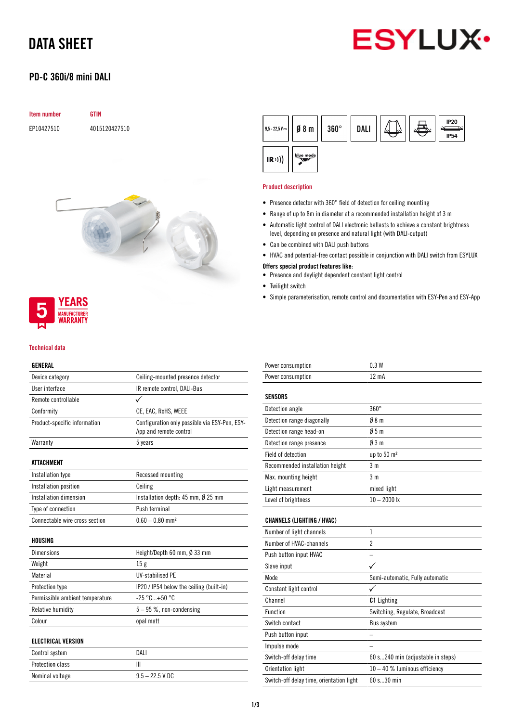# DATA SHEET

## PD-C 360i/8 mini DALI



## Item number GTIN

EP10427510 4015120427510





#### Technical data

## GENERAL

| Device category                 | Ceiling-mounted presence detector                                       |
|---------------------------------|-------------------------------------------------------------------------|
| User interface                  | IR remote control, DALI-Bus                                             |
| Remote controllable             |                                                                         |
| Conformity                      | CE, EAC, RoHS, WEEE                                                     |
| Product-specific information    | Configuration only possible via ESY-Pen, ESY-<br>App and remote control |
| Warranty                        | 5 years                                                                 |
| <b>ATTACHMENT</b>               |                                                                         |
| Installation type               | Recessed mounting                                                       |
| Installation position           | Ceiling                                                                 |
| Installation dimension          | Installation depth: $45$ mm, $\emptyset$ 25 mm                          |
| Type of connection              | Push terminal                                                           |
| Connectable wire cross section  | $0.60 - 0.80$ mm <sup>2</sup>                                           |
| HOUSING                         |                                                                         |
| <b>Dimensions</b>               | Height/Depth 60 mm, Ø 33 mm                                             |
| Weight                          | 15g                                                                     |
| Material                        | <b>UV-stabilised PE</b>                                                 |
| Protection type                 | IP20 / IP54 below the ceiling (built-in)                                |
| Permissible ambient temperature | $-25 °C+50 °C$                                                          |
| Relative humidity               | $5-95$ %, non-condensing                                                |
| Colour                          | opal matt                                                               |
| <b>ELECTRICAL VERSION</b>       |                                                                         |
| Control system                  | DALI                                                                    |
| <b>Protection class</b>         | Ш                                                                       |

Nominal voltage 9.5 – 22.5 V DC

| $9,5 - 22,5$ V $\cdots$ | $\emptyset$ 8 m | $360^\circ$ | <b>DALI</b> |  | <b>IP20</b><br><b>IP54</b> |
|-------------------------|-----------------|-------------|-------------|--|----------------------------|
| $\ket{R})$              | blue mode       |             |             |  |                            |

#### Product description

- Presence detector with 360° field of detection for ceiling mounting
- Range of up to 8m in diameter at a recommended installation height of 3 m
- Automatic light control of DALI electronic ballasts to achieve a constant brightness level, depending on presence and natural light (with DALI-output)
- Can be combined with DALI push buttons
- HVAC and potential-free contact possible in conjunction with DALI switch from ESYLUX

### Offers special product features like:

- Presence and daylight dependent constant light control
- Twilight switch
- Simple parameterisation, remote control and documentation with ESY-Pen and ESY-App

| Power consumption                        | 0.3W                              |
|------------------------------------------|-----------------------------------|
| Power consumption                        | $12 \text{ mA}$                   |
| <b>SENSORS</b>                           |                                   |
| Detection angle                          | $360^\circ$                       |
| Detection range diagonally               | 08 <sub>m</sub>                   |
| Detection range head-on                  | 05m                               |
| Detection range presence                 | 03m                               |
| Field of detection                       | up to 50 m <sup>2</sup>           |
| Recommended installation height          | 3 <sub>m</sub>                    |
| Max. mounting height                     | 3 <sub>m</sub>                    |
| Light measurement                        | mixed light                       |
| Level of brightness                      | $10 - 2000$ lx                    |
| <b>CHANNELS (LIGHTING / HVAC)</b>        |                                   |
| Number of light channels                 | 1                                 |
| Number of HVAC-channels                  | $\overline{2}$                    |
| Push button input HVAC                   |                                   |
| Slave input                              |                                   |
| Mode                                     | Semi-automatic, Fully automatic   |
| Constant light control                   |                                   |
| Channel                                  | <b>C1</b> Lighting                |
| Function                                 | Switching, Regulate, Broadcast    |
| Switch contact                           | <b>Bus system</b>                 |
| Push button input                        |                                   |
| Impulse mode                             |                                   |
| Switch-off delay time                    | 60 s240 min (adjustable in steps) |
| Orientation light                        | $10 - 40$ % luminous efficiency   |
| Switch-off delay time, orientation light | 60 s30 min                        |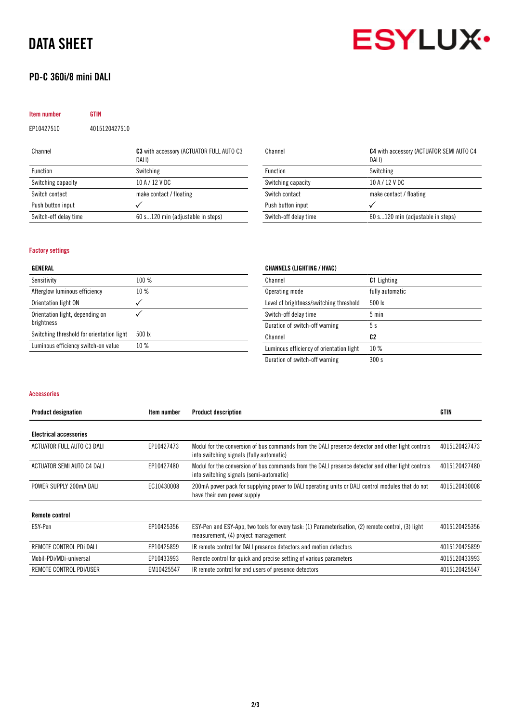# DATA SHEET

# PD-C 360i/8 mini DALI



| Item number        | <b>GTIN</b>   |                                                   |
|--------------------|---------------|---------------------------------------------------|
| EP10427510         | 4015120427510 |                                                   |
| Channel            |               | C3 with accessory (ACTUATOR FULL AUTO C3<br>DALI) |
| Function           |               | Switching                                         |
| Switching capacity |               | 10 A / 12 V DC                                    |

Switch-off delay time 60 s...120 min (adjustable in steps)

Switch contact make contact / floating

Push button input  $\checkmark$ 

| Channel               | C4 with accessory (ACTUATOR SEMI AUTO C4<br>DALI) |  |  |
|-----------------------|---------------------------------------------------|--|--|
| Function              | Switching                                         |  |  |
| Switching capacity    | 10 A / 12 V DC                                    |  |  |
| Switch contact        | make contact / floating                           |  |  |
| Push button input     |                                                   |  |  |
| Switch-off delay time | 60 s120 min (adjustable in steps)                 |  |  |

### Factory settings

## GENERAL

| 100%             |
|------------------|
| 10%              |
|                  |
|                  |
| $500 \text{ lx}$ |
| 10%              |
|                  |

| Channel                                 | <b>C1</b> Lighting |
|-----------------------------------------|--------------------|
| Operating mode                          | fully automatic    |
| Level of brightness/switching threshold | 500 lx             |
| Switch-off delay time                   | $5 \text{ min}$    |
| Duration of switch-off warning          | 5 s                |

CHANNELS (LIGHTING / HVAC)

Channel C<sub>2</sub> Luminous efficiency of orientation light 10 % Duration of switch-off warning 300 s

#### Accessories

| <b>Product designation</b>    | Item number | <b>Product description</b>                                                                                                                    | <b>GTIN</b>   |
|-------------------------------|-------------|-----------------------------------------------------------------------------------------------------------------------------------------------|---------------|
| <b>Electrical accessories</b> |             |                                                                                                                                               |               |
| ACTUATOR FULL AUTO C3 DALI    | EP10427473  | Modul for the conversion of bus commands from the DALI presence detector and other light controls<br>into switching signals (fully automatic) | 4015120427473 |
| ACTUATOR SEMI AUTO C4 DALI    | EP10427480  | Modul for the conversion of bus commands from the DALI presence detector and other light controls<br>into switching signals (semi-automatic)  | 4015120427480 |
| POWER SUPPLY 200mA DALI       | EC10430008  | 200mA power pack for supplying power to DALI operating units or DALI control modules that do not<br>have their own power supply               | 4015120430008 |
| <b>Remote control</b>         |             |                                                                                                                                               |               |
| ESY-Pen                       | EP10425356  | ESY-Pen and ESY-App, two tools for every task: (1) Parameterisation, (2) remote control, (3) light<br>measurement, (4) project management     | 4015120425356 |
| REMOTE CONTROL PDi DALI       | EP10425899  | IR remote control for DALI presence detectors and motion detectors                                                                            | 4015120425899 |
| Mobil-PDi/MDi-universal       | EP10433993  | Remote control for quick and precise setting of various parameters                                                                            | 4015120433993 |
| REMOTE CONTROL PDI/USER       | EM10425547  | IR remote control for end users of presence detectors                                                                                         | 4015120425547 |
|                               |             |                                                                                                                                               |               |